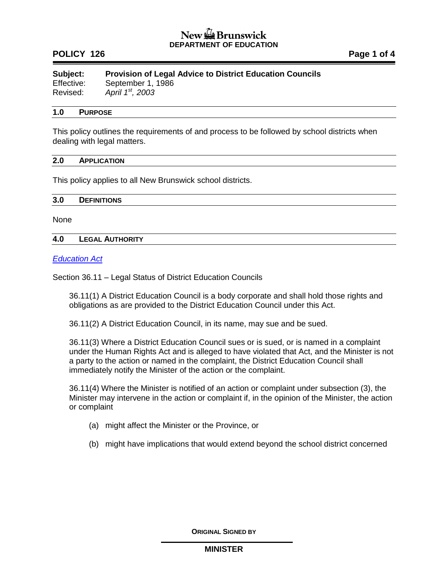# New <del>Me</del> Brunswick **DEPARTMENT OF EDUCATION**

# **POLICY 126 Page 1 of 4**

**Subject: Provision of Legal Advice to District Education Councils** Effective: September 1, 1986 Revised: *April 1st, 2003*

# **1.0 PURPOSE**

This policy outlines the requirements of and process to be followed by school districts when dealing with legal matters.

### **2.0 APPLICATION**

This policy applies to all New Brunswick school districts.

#### **3.0 DEFINITIONS**

None

### **4.0 LEGAL AUTHORITY**

### *[Education Act](http://laws.gnb.ca/en/ShowPdf/cs/E-1.12.pdf)*

Section 36.11 – Legal Status of District Education Councils

36.11(1) A District Education Council is a body corporate and shall hold those rights and obligations as are provided to the District Education Council under this Act.

36.11(2) A District Education Council, in its name, may sue and be sued.

36.11(3) Where a District Education Council sues or is sued, or is named in a complaint under the Human Rights Act and is alleged to have violated that Act, and the Minister is not a party to the action or named in the complaint, the District Education Council shall immediately notify the Minister of the action or the complaint.

36.11(4) Where the Minister is notified of an action or complaint under subsection (3), the Minister may intervene in the action or complaint if, in the opinion of the Minister, the action or complaint

- (a) might affect the Minister or the Province, or
- (b) might have implications that would extend beyond the school district concerned

**ORIGINAL SIGNED BY**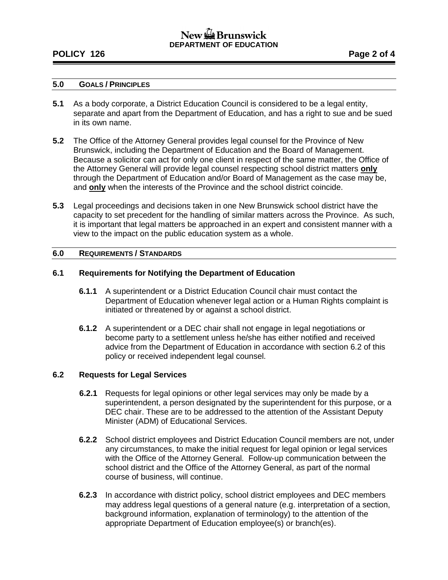# New the Brunswick **DEPARTMENT OF EDUCATION**

# **POLICY 126 Page 2 of 4**

# **5.0 GOALS / PRINCIPLES**

- **5.1** As a body corporate, a District Education Council is considered to be a legal entity, separate and apart from the Department of Education, and has a right to sue and be sued in its own name.
- **5.2** The Office of the Attorney General provides legal counsel for the Province of New Brunswick, including the Department of Education and the Board of Management. Because a solicitor can act for only one client in respect of the same matter, the Office of the Attorney General will provide legal counsel respecting school district matters **only** through the Department of Education and/or Board of Management as the case may be, and **only** when the interests of the Province and the school district coincide.
- **5.3** Legal proceedings and decisions taken in one New Brunswick school district have the capacity to set precedent for the handling of similar matters across the Province. As such, it is important that legal matters be approached in an expert and consistent manner with a view to the impact on the public education system as a whole.

### **6.0 REQUIREMENTS / STANDARDS**

### **6.1 Requirements for Notifying the Department of Education**

- **6.1.1** A superintendent or a District Education Council chair must contact the Department of Education whenever legal action or a Human Rights complaint is initiated or threatened by or against a school district.
- **6.1.2** A superintendent or a DEC chair shall not engage in legal negotiations or become party to a settlement unless he/she has either notified and received advice from the Department of Education in accordance with section 6.2 of this policy or received independent legal counsel.

## **6.2 Requests for Legal Services**

- **6.2.1** Requests for legal opinions or other legal services may only be made by a superintendent, a person designated by the superintendent for this purpose, or a DEC chair. These are to be addressed to the attention of the Assistant Deputy Minister (ADM) of Educational Services.
- **6.2.2** School district employees and District Education Council members are not, under any circumstances, to make the initial request for legal opinion or legal services with the Office of the Attorney General. Follow-up communication between the school district and the Office of the Attorney General, as part of the normal course of business, will continue.
- **6.2.3** In accordance with district policy, school district employees and DEC members may address legal questions of a general nature (e.g. interpretation of a section, background information, explanation of terminology) to the attention of the appropriate Department of Education employee(s) or branch(es).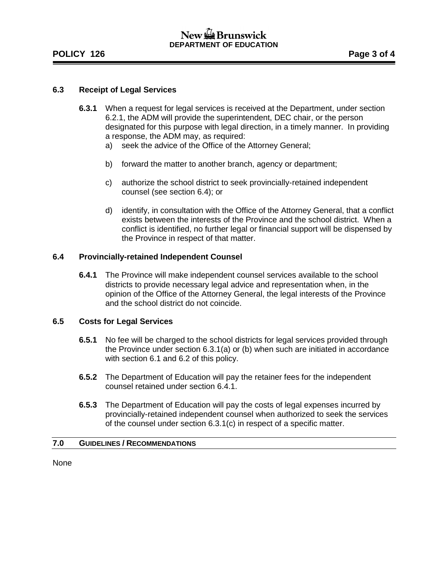# New  $\mathbb{Z}$  Brunswick **DEPARTMENT OF EDUCATION**

# **POLICY 126 Page 3 of 4**

### **6.3 Receipt of Legal Services**

- **6.3.1** When a request for legal services is received at the Department, under section 6.2.1, the ADM will provide the superintendent, DEC chair, or the person designated for this purpose with legal direction, in a timely manner. In providing a response, the ADM may, as required:
	- a) seek the advice of the Office of the Attorney General;
	- b) forward the matter to another branch, agency or department;
	- c) authorize the school district to seek provincially-retained independent counsel (see section 6.4); or
	- d) identify, in consultation with the Office of the Attorney General, that a conflict exists between the interests of the Province and the school district. When a conflict is identified, no further legal or financial support will be dispensed by the Province in respect of that matter.

### **6.4 Provincially-retained Independent Counsel**

**6.4.1** The Province will make independent counsel services available to the school districts to provide necessary legal advice and representation when, in the opinion of the Office of the Attorney General, the legal interests of the Province and the school district do not coincide.

### **6.5 Costs for Legal Services**

- **6.5.1** No fee will be charged to the school districts for legal services provided through the Province under section 6.3.1(a) or (b) when such are initiated in accordance with section 6.1 and 6.2 of this policy.
- **6.5.2** The Department of Education will pay the retainer fees for the independent counsel retained under section 6.4.1.
- **6.5.3** The Department of Education will pay the costs of legal expenses incurred by provincially-retained independent counsel when authorized to seek the services of the counsel under section 6.3.1(c) in respect of a specific matter.

### **7.0 GUIDELINES / RECOMMENDATIONS**

None